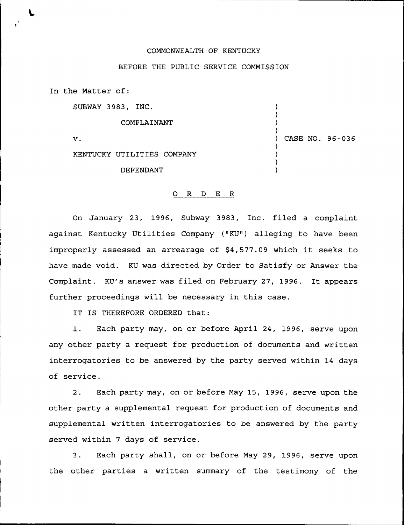## COMMONWEALTH OF KENTUCKY

## BEFORE THE PUBLIC SERVICE COMMISSION

) ) )  $\left\{ \right\}$ 

) ) ) )

) CASE NO. 96-036

In the Matter of:

SUBWAY 3983, INC.

COMPLAINANT

 $\mathbf{v}$ .

KENTUCKY UTILITIES COMPANY

DEFENDANT

## 0 <sup>R</sup> <sup>D</sup> E R

On January 23, 1996, Subway 3983, Inc. filed a complaint against Kentucky Utilities Company ("KU") alleging to have been improperly assessed an arrearage of \$4,577.09 which it seeks to have made void. KU was directed by Order to Satisfy or Answer the Complaint. KU's answer was filed on February 27, 1996. It appears further proceedings will be necessary in this case.

IT IS THEREFORE ORDERED that:

1. Each party may, on or before April 24, 1996, serve upon any other party a request for production of documents and written interrogatories to be answered by the party served within 14 days of service.

2. Each party may, on or before May 15, 1996, serve upon the other party a supplemental request for production of documents and supplemental written interrogatories to be answered by the party served within 7 days of service.

3. Each party shall, on or before May 29, 1996, serve upon the other parties a written summary of the testimony of the